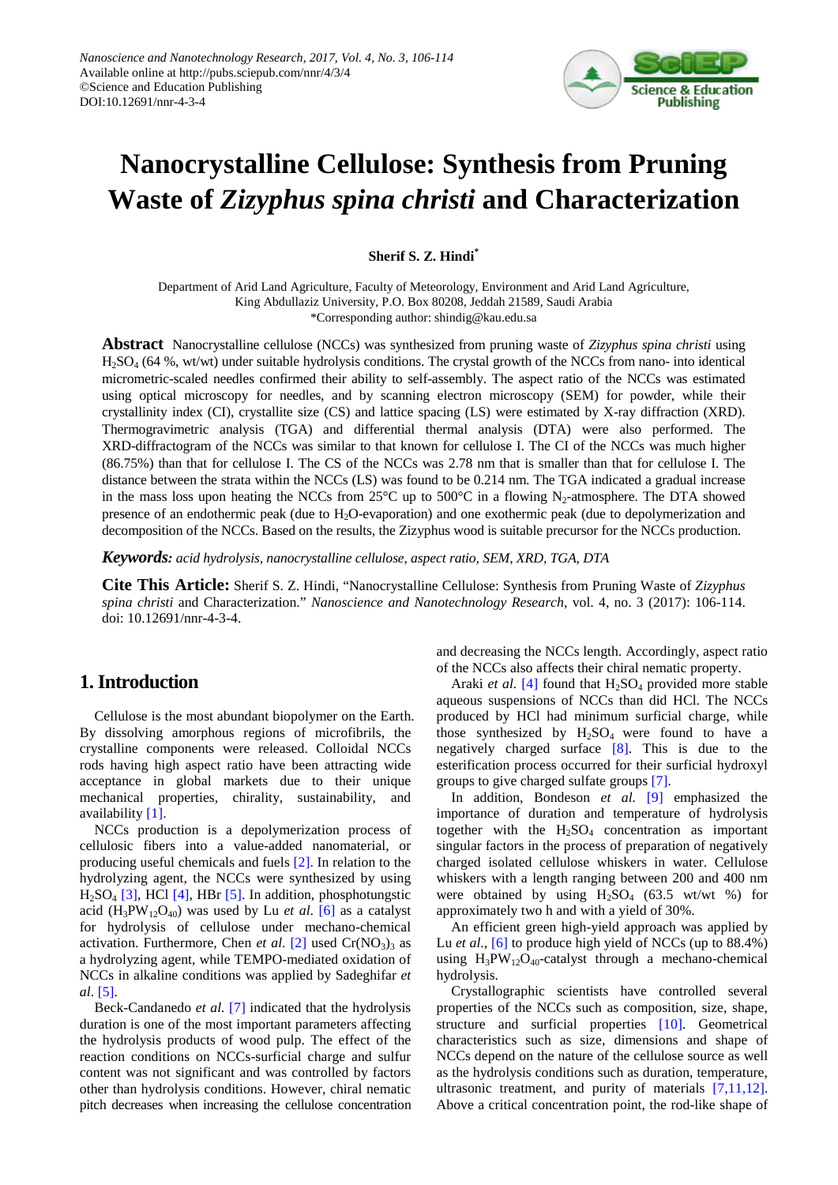

# **Nanocrystalline Cellulose: Synthesis from Pruning Waste of** *Zizyphus spina christi* **and Characterization**

# **Sherif S. Z. Hindi\***

Department of Arid Land Agriculture, Faculty of Meteorology, Environment and Arid Land Agriculture, King Abdullaziz University, P.O. Box 80208, Jeddah 21589, Saudi Arabia \*Corresponding author: shindig@kau.edu.sa

**Abstract** Nanocrystalline cellulose (NCCs) was synthesized from pruning waste of *Zizyphus spina christi* using H2SO4 (64 %, wt/wt) under suitable hydrolysis conditions. The crystal growth of the NCCs from nano- into identical micrometric-scaled needles confirmed their ability to self-assembly. The aspect ratio of the NCCs was estimated using optical microscopy for needles, and by scanning electron microscopy (SEM) for powder, while their crystallinity index (CI), crystallite size (CS) and lattice spacing (LS) were estimated by X-ray diffraction (XRD). Thermogravimetric analysis (TGA) and differential thermal analysis (DTA) were also performed. The XRD-diffractogram of the NCCs was similar to that known for cellulose I. The CI of the NCCs was much higher (86.75%) than that for cellulose I. The CS of the NCCs was 2.78 nm that is smaller than that for cellulose I. The distance between the strata within the NCCs (LS) was found to be 0.214 nm. The TGA indicated a gradual increase in the mass loss upon heating the NCCs from  $25^{\circ}$ C up to  $500^{\circ}$ C in a flowing N<sub>2</sub>-atmosphere. The DTA showed presence of an endothermic peak (due to H2O-evaporation) and one exothermic peak (due to depolymerization and decomposition of the NCCs. Based on the results, the Zizyphus wood is suitable precursor for the NCCs production.

*Keywords: acid hydrolysis, nanocrystalline cellulose, aspect ratio, SEM, XRD, TGA, DTA*

**Cite This Article:** Sherif S. Z. Hindi, "Nanocrystalline Cellulose: Synthesis from Pruning Waste of *Zizyphus spina christi* and Characterization." *Nanoscience and Nanotechnology Research*, vol. 4, no. 3 (2017): 106-114. doi: 10.12691/nnr-4-3-4.

# **1. Introduction**

Cellulose is the most abundant biopolymer on the Earth. By dissolving amorphous regions of microfibrils, the crystalline components were released. Colloidal NCCs rods having high aspect ratio have been attracting wide acceptance in global markets due to their unique mechanical properties, chirality, sustainability, and availability [\[1\].](#page-7-0)

NCCs production is a depolymerization process of cellulosic fibers into a value-added nanomaterial, or producing useful chemicals and fuels [\[2\].](#page-7-1) In relation to the hydrolyzing agent, the NCCs were synthesized by using  $H_2SO_4$  [\[3\],](#page-7-2) HCl [\[4\],](#page-7-3) HBr [\[5\].](#page-7-4) In addition, phosphotungstic acid  $(H_3PW_{12}O_{40})$  was used by Lu *et al.* [\[6\]](#page-7-5) as a catalyst for hydrolysis of cellulose under mechano-chemical activation. Furthermore, Chen *et al.* [\[2\]](#page-7-1) used  $Cr(NO<sub>3</sub>)<sub>3</sub>$  as a hydrolyzing agent, while TEMPO-mediated oxidation of NCCs in alkaline conditions was applied by Sadeghifar *et al*. [\[5\].](#page-7-4)

Beck-Candanedo *et al.* [\[7\]](#page-7-6) indicated that the hydrolysis duration is one of the most important parameters affecting the hydrolysis products of wood pulp. The effect of the reaction conditions on NCCs-surficial charge and sulfur content was not significant and was controlled by factors other than hydrolysis conditions. However, chiral nematic pitch decreases when increasing the cellulose concentration and decreasing the NCCs length. Accordingly, aspect ratio of the NCCs also affects their chiral nematic property.

Araki et al. [\[4\]](#page-7-3) found that H<sub>2</sub>SO<sub>4</sub> provided more stable aqueous suspensions of NCCs than did HCl. The NCCs produced by HCl had minimum surficial charge, while those synthesized by  $H_2SO_4$  were found to have a negatively charged surface [\[8\].](#page-7-7) This is due to the esterification process occurred for their surficial hydroxyl groups to give charged sulfate groups [\[7\].](#page-7-6)

In addition, Bondeson *et al.* [\[9\]](#page-7-8) emphasized the importance of duration and temperature of hydrolysis together with the  $H_2SO_4$  concentration as important singular factors in the process of preparation of negatively charged isolated cellulose whiskers in water. Cellulose whiskers with a length ranging between 200 and 400 nm were obtained by using  $H_2SO_4$  (63.5 wt/wt %) for approximately two h and with a yield of 30%.

An efficient green high-yield approach was applied by Lu *et al.*, [\[6\]](#page-7-5) to produce high yield of NCCs (up to 88.4%) using  $H_3PW_{12}O_{40}$ -catalyst through a mechano-chemical hydrolysis.

Crystallographic scientists have controlled several properties of the NCCs such as composition, size, shape, structure and surficial properties [\[10\].](#page-7-9) Geometrical characteristics such as size, dimensions and shape of NCCs depend on the nature of the cellulose source as well as the hydrolysis conditions such as duration, temperature, ultrasonic treatment, and purity of materials [\[7,11,12\].](#page-7-6) Above a critical concentration point, the rod-like shape of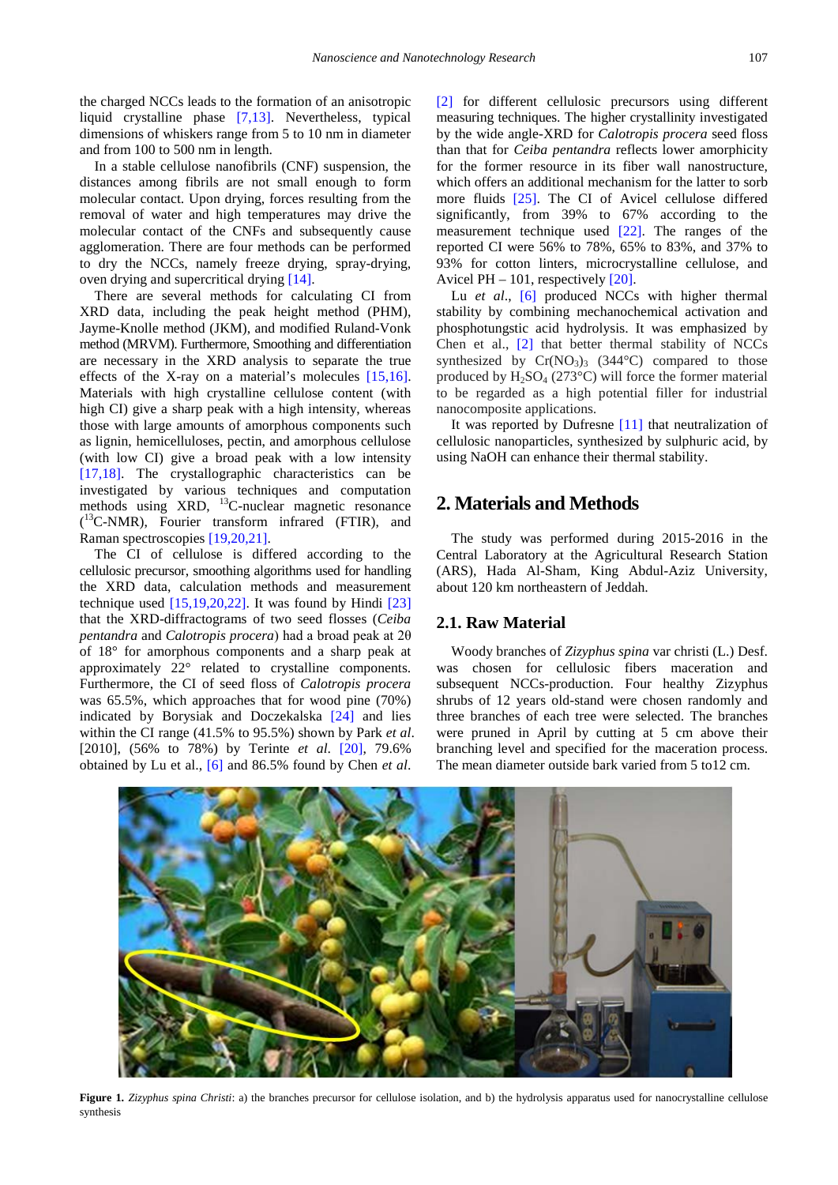the charged NCCs leads to the formation of an anisotropic liquid crystalline phase [\[7,13\].](#page-7-6) Nevertheless, typical dimensions of whiskers range from 5 to 10 nm in diameter and from 100 to 500 nm in length.

In a stable cellulose nanofibrils (CNF) suspension, the distances among fibrils are not small enough to form molecular contact. Upon drying, forces resulting from the removal of water and high temperatures may drive the molecular contact of the CNFs and subsequently cause agglomeration. There are four methods can be performed to dry the NCCs, namely freeze drying, spray-drying, oven drying and supercritical dryin[g \[14\].](#page-7-10) 

There are several methods for calculating CI from XRD data, including the peak height method (PHM), Jayme-Knolle method (JKM), and modified Ruland-Vonk method (MRVM). Furthermore, Smoothing and differentiation are necessary in the XRD analysis to separate the true effects of the X-ray on a material's molecules [\[15,16\].](#page-7-11) Materials with high crystalline cellulose content (with high CI) give a sharp peak with a high intensity, whereas those with large amounts of amorphous components such as lignin, hemicelluloses, pectin, and amorphous cellulose (with low CI) give a broad peak with a low intensity [\[17,18\].](#page-7-12) The crystallographic characteristics can be investigated by various techniques and computation methods using XRD, <sup>13</sup>C-nuclear magnetic resonance ( 13C-NMR), Fourier transform infrared (FTIR), and Raman spectroscopies [\[19,20,21\].](#page-7-13)

The CI of cellulose is differed according to the cellulosic precursor, smoothing algorithms used for handling the XRD data, calculation methods and measurement technique used  $[15,19,20,22]$ . It was found by Hindi  $[23]$ that the XRD-diffractograms of two seed flosses (*Ceiba pentandra* and *Calotropis procera*) had a broad peak at 2θ of 18° for amorphous components and a sharp peak at approximately 22° related to crystalline components. Furthermore, the CI of seed floss of *Calotropis procera* was 65.5%, which approaches that for wood pine (70%) indicated by Borysiak and Doczekalska [\[24\]](#page-7-15) and lies within the CI range (41.5% to 95.5%) shown by Park *et al*. [2010], (56% to 78%) by Terinte *et al*. [\[20\],](#page-7-16) 79.6% obtained by Lu et al., [\[6\]](#page-7-5) and 86.5% found by Chen *et al*.

[\[2\]](#page-7-1) for different cellulosic precursors using different measuring techniques. The higher crystallinity investigated by the wide angle-XRD for *Calotropis procera* seed floss than that for *Ceiba pentandra* reflects lower amorphicity for the former resource in its fiber wall nanostructure, which offers an additional mechanism for the latter to sorb more fluids [\[25\].](#page-7-17) The CI of Avicel cellulose differed significantly, from 39% to 67% according to the measurement technique used [\[22\].](#page-7-18) The ranges of the reported CI were 56% to 78%, 65% to 83%, and 37% to 93% for cotton linters, microcrystalline cellulose, and Avicel PH  $-101$ , respectively  $[20]$ .

Lu *et al.*, [\[6\]](#page-7-5) produced NCCs with higher thermal stability by combining mechanochemical activation and phosphotungstic acid hydrolysis. It was emphasized by Chen et al., [\[2\]](#page-7-1) that better thermal stability of NCCs synthesized by  $Cr(NO<sub>3</sub>)<sub>3</sub>$  (344°C) compared to those produced by  $H_2SO_4$  (273°C) will force the former material to be regarded as a high potential filler for industrial nanocomposite applications.

It was reported by Dufresne [\[11\]](#page-7-19) that neutralization of cellulosic nanoparticles, synthesized by sulphuric acid, by using NaOH can enhance their thermal stability.

# **2. Materials and Methods**

The study was performed during 2015-2016 in the Central Laboratory at the Agricultural Research Station (ARS), Hada Al-Sham, King Abdul-Aziz University, about 120 km northeastern of Jeddah.

### **2.1. Raw Material**

Woody branches of *Zizyphus spina* var christi (L.) Desf. was chosen for cellulosic fibers maceration and subsequent NCCs-production. Four healthy Zizyphus shrubs of 12 years old-stand were chosen randomly and three branches of each tree were selected. The branches were pruned in April by cutting at 5 cm above their branching level and specified for the maceration process. The mean diameter outside bark varied from 5 to12 cm.



**Figure 1.** *Zizyphus spina Christi*: a) the branches precursor for cellulose isolation, and b) the hydrolysis apparatus used for nanocrystalline cellulose synthesis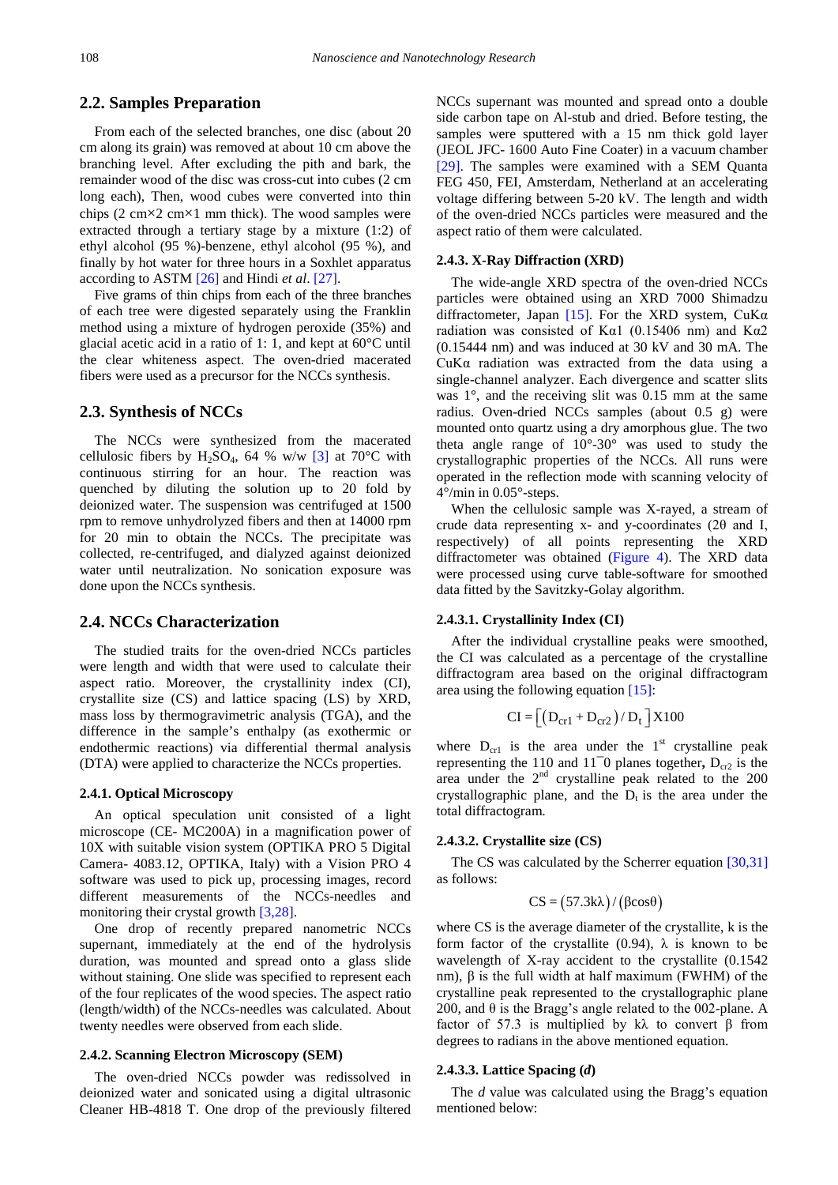### **2.2. Samples Preparation**

From each of the selected branches, one disc (about 20 cm along its grain) was removed at about 10 cm above the branching level. After excluding the pith and bark, the remainder wood of the disc was cross-cut into cubes (2 cm long each), Then, wood cubes were converted into thin chips  $(2 \text{ cm} \times 2 \text{ cm} \times 1 \text{ mm thick})$ . The wood samples were extracted through a tertiary stage by a mixture (1:2) of ethyl alcohol (95 %)-benzene, ethyl alcohol (95 %), and finally by hot water for three hours in a Soxhlet apparatus according to ASTM [\[26\]](#page-8-0) and Hindi *et al*. [\[27\].](#page-8-1)

Five grams of thin chips from each of the three branches of each tree were digested separately using the Franklin method using a mixture of hydrogen peroxide (35%) and glacial acetic acid in a ratio of 1: 1, and kept at 60°C until the clear whiteness aspect. The oven-dried macerated fibers were used as a precursor for the NCCs synthesis.

### **2.3. Synthesis of NCCs**

The NCCs were synthesized from the macerated cellulosic fibers by H<sub>2</sub>SO<sub>4</sub>, 64 % w/w [\[3\]](#page-7-2) at 70<sup>o</sup>C with continuous stirring for an hour. The reaction was quenched by diluting the solution up to 20 fold by deionized water. The suspension was centrifuged at 1500 rpm to remove unhydrolyzed fibers and then at 14000 rpm for 20 min to obtain the NCCs. The precipitate was collected, re-centrifuged, and dialyzed against deionized water until neutralization. No sonication exposure was done upon the NCCs synthesis.

# **2.4. NCCs Characterization**

The studied traits for the oven-dried NCCs particles were length and width that were used to calculate their aspect ratio. Moreover, the crystallinity index (CI), crystallite size (CS) and lattice spacing (LS) by XRD, mass loss by thermogravimetric analysis (TGA), and the difference in the sample's enthalpy (as exothermic or endothermic reactions) via differential thermal analysis (DTA) were applied to characterize the NCCs properties.

### **2.4.1. Optical Microscopy**

An optical speculation unit consisted of a light microscope (CE- MC200A) in a magnification power of 10X with suitable vision system (OPTIKA PRO 5 Digital Camera- 4083.12, OPTIKA, Italy) with a Vision PRO 4 software was used to pick up, processing images, record different measurements of the NCCs-needles and monitoring their crystal growth [\[3,28\].](#page-7-2)

One drop of recently prepared nanometric NCCs supernant, immediately at the end of the hydrolysis duration, was mounted and spread onto a glass slide without staining. One slide was specified to represent each of the four replicates of the wood species. The aspect ratio (length/width) of the NCCs-needles was calculated. About twenty needles were observed from each slide.

#### **2.4.2. Scanning Electron Microscopy (SEM)**

The oven-dried NCCs powder was redissolved in deionized water and sonicated using a digital ultrasonic Cleaner HB-4818 T. One drop of the previously filtered NCCs supernant was mounted and spread onto a double side carbon tape on Al-stub and dried. Before testing, the samples were sputtered with a 15 nm thick gold layer (JEOL JFC- 1600 Auto Fine Coater) in a vacuum chamber [\[29\].](#page-8-2) The samples were examined with a SEM Quanta FEG 450, FEI, Amsterdam, Netherland at an accelerating voltage differing between 5-20 kV. The length and width of the oven-dried NCCs particles were measured and the aspect ratio of them were calculated.

#### **2.4.3. X-Ray Diffraction (XRD)**

The wide-angle XRD spectra of the oven-dried NCCs particles were obtained using an XRD 7000 Shimadzu diffractometer, Japan [\[15\].](#page-7-11) For the XRD system,  $CuKa$ radiation was consisted of K $\alpha$ 1 (0.15406 nm) and K $\alpha$ 2 (0.15444 nm) and was induced at 30 kV and 30 mA. The CuKα radiation was extracted from the data using a single-channel analyzer. Each divergence and scatter slits was 1°, and the receiving slit was 0.15 mm at the same radius. Oven-dried NCCs samples (about 0.5 g) were mounted onto quartz using a dry amorphous glue. The two theta angle range of 10°-30° was used to study the crystallographic properties of the NCCs. All runs were operated in the reflection mode with scanning velocity of 4°/min in 0.05°-steps.

When the cellulosic sample was X-rayed, a stream of crude data representing x- and y-coordinates (2θ and I, respectively) of all points representing the XRD diffractometer was obtained [\(Figure 4\)](#page-4-0). The XRD data were processed using curve table-software for smoothed data fitted by the Savitzky-Golay algorithm.

#### **2.4.3.1. Crystallinity Index (CI)**

After the individual crystalline peaks were smoothed, the CI was calculated as a percentage of the crystalline diffractogram area based on the original diffractogram area using the following equation [\[15\]:](#page-7-11)

$$
CI = \left[ \left( D_{cr1} + D_{cr2} \right) / D_t \right] X 100
$$

where  $D_{cr1}$  is the area under the 1<sup>st</sup> crystalline peak representing the 110 and 11<sup> $-$ </sup>0 planes together,  $D_{cr2}$  is the area under the  $2<sup>nd</sup>$  crystalline peak related to the 200 crystallographic plane, and the  $D_t$  is the area under the total diffractogram.

#### **2.4.3.2. Crystallite size (CS)**

The CS was calculated by the Scherrer equation [\[30,31\]](#page-8-3) as follows:

$$
CS = (57.3 \text{kA}) / (\beta \cos \theta)
$$

where CS is the average diameter of the crystallite, k is the form factor of the crystallite (0.94),  $\lambda$  is known to be wavelength of X-ray accident to the crystallite (0.1542 nm),  $β$  is the full width at half maximum (FWHM) of the crystalline peak represented to the crystallographic plane 200, and  $\theta$  is the Bragg's angle related to the 002-plane. A factor of 57.3 is multiplied by kλ to convert  $\beta$  from degrees to radians in the above mentioned equation.

### **2.4.3.3. Lattice Spacing (***d***)**

The *d* value was calculated using the Bragg's equation mentioned below: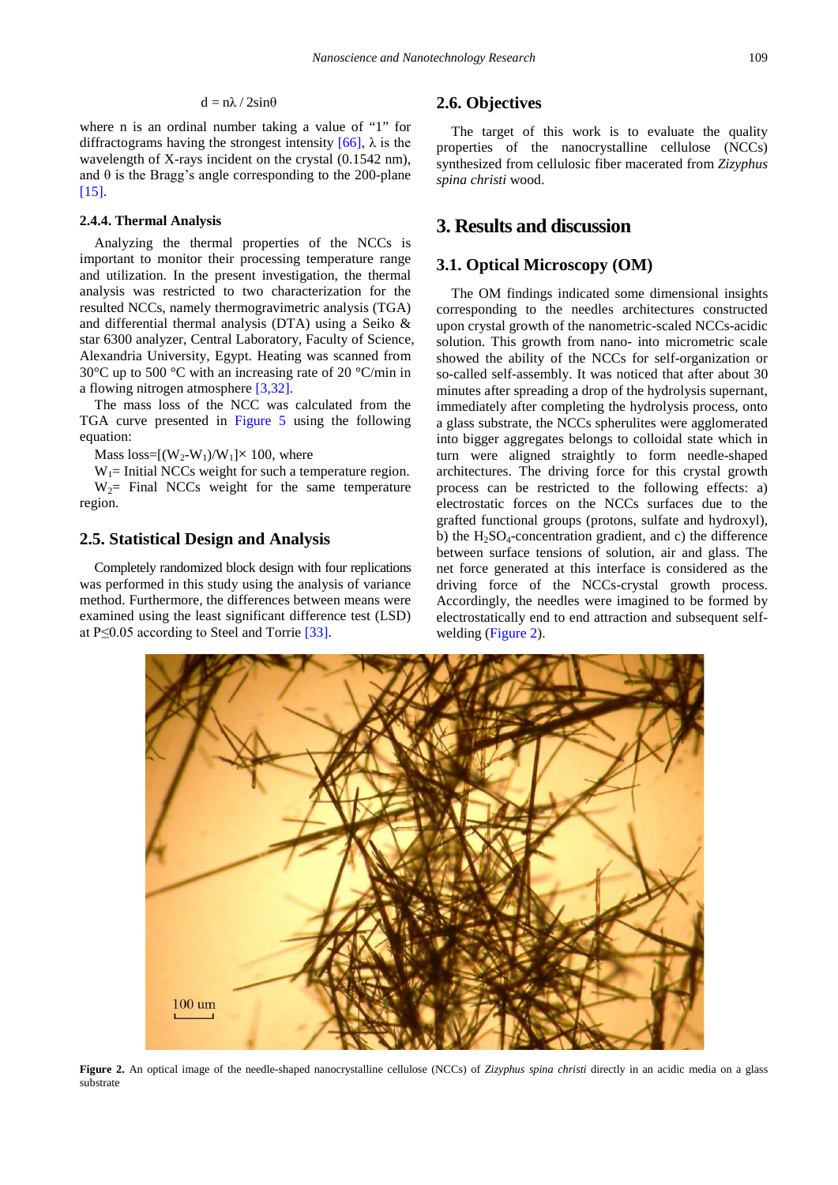$$
d = n\lambda / 2sin\theta
$$

where n is an ordinal number taking a value of "1" for diffractograms having the strongest intensity  $[66]$ ,  $\lambda$  is the wavelength of X-rays incident on the crystal (0.1542 nm), and  $\theta$  is the Bragg's angle corresponding to the 200-plane [\[15\].](#page-7-11)

### **2.4.4. Thermal Analysis**

Analyzing the thermal properties of the NCCs is important to monitor their processing temperature range and utilization. In the present investigation, the thermal analysis was restricted to two characterization for the resulted NCCs, namely thermogravimetric analysis (TGA) and differential thermal analysis (DTA) using a Seiko & star 6300 analyzer, Central Laboratory, Faculty of Science, Alexandria University, Egypt. Heating was scanned from 30°C up to 500 °C with an increasing rate of 20 °C/min in a flowing nitrogen atmospher[e \[3,32\].](#page-7-2)

The mass loss of the NCC was calculated from the TGA curve presented in [Figure 5](#page-6-0) using the following equation:

Mass loss= $[(W_2-W_1)/W_1] \times 100$ , where

 $W_1$ = Initial NCCs weight for such a temperature region.  $W_2$ = Final NCCs weight for the same temperature region.

### **2.5. Statistical Design and Analysis**

Completely randomized block design with four replications was performed in this study using the analysis of variance method. Furthermore, the differences between means were examined using the least significant difference test (LSD) at P≤0.05 according to Steel and Torrie [\[33\].](#page-8-4)

# **2.6. Objectives**

The target of this work is to evaluate the quality properties of the nanocrystalline cellulose (NCCs) synthesized from cellulosic fiber macerated from *Zizyphus spina christi* wood.

# **3. Results and discussion**

### **3.1. Optical Microscopy (OM)**

The OM findings indicated some dimensional insights corresponding to the needles architectures constructed upon crystal growth of the nanometric-scaled NCCs-acidic solution. This growth from nano- into micrometric scale showed the ability of the NCCs for self-organization or so-called self-assembly. It was noticed that after about 30 minutes after spreading a drop of the hydrolysis supernant, immediately after completing the hydrolysis process, onto a glass substrate, the NCCs spherulites were agglomerated into bigger aggregates belongs to colloidal state which in turn were aligned straightly to form needle-shaped architectures. The driving force for this crystal growth process can be restricted to the following effects: a) electrostatic forces on the NCCs surfaces due to the grafted functional groups (protons, sulfate and hydroxyl), b) the  $H_2SO_4$ -concentration gradient, and c) the difference between surface tensions of solution, air and glass. The net force generated at this interface is considered as the driving force of the NCCs-crystal growth process. Accordingly, the needles were imagined to be formed by electrostatically end to end attraction and subsequent selfwelding [\(Figure 2\)](#page-3-0).

<span id="page-3-0"></span>

**Figure 2.** An optical image of the needle-shaped nanocrystalline cellulose (NCCs) of *Zizyphus spina christi* directly in an acidic media on a glass substrate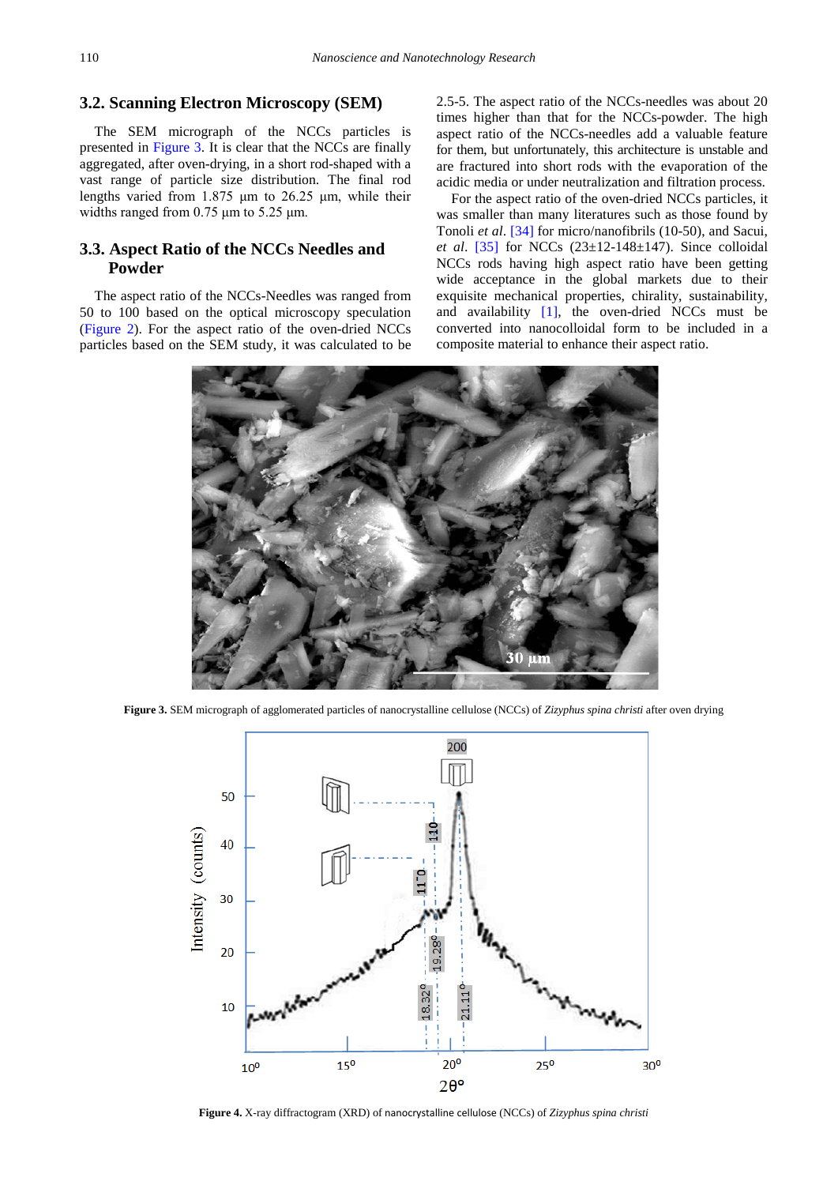# **3.2. Scanning Electron Microscopy (SEM)**

The SEM micrograph of the NCCs particles is presented in [Figure 3.](#page-4-1) It is clear that the NCCs are finally aggregated, after oven-drying, in a short rod-shaped with a vast range of particle size distribution. The final rod lengths varied from 1.875 μm to 26.25 μm, while their widths ranged from 0.75 μm to 5.25 μm.

# **3.3. Aspect Ratio of the NCCs Needles and Powder**

The aspect ratio of the NCCs-Needles was ranged from 50 to 100 based on the optical microscopy speculation [\(Figure 2\)](#page-3-0). For the aspect ratio of the oven-dried NCCs particles based on the SEM study, it was calculated to be 2.5-5. The aspect ratio of the NCCs-needles was about 20 times higher than that for the NCCs-powder. The high aspect ratio of the NCCs-needles add a valuable feature for them, but unfortunately, this architecture is unstable and are fractured into short rods with the evaporation of the acidic media or under neutralization and filtration process.

For the aspect ratio of the oven-dried NCCs particles, it was smaller than many literatures such as those found by Tonoli *et al*. [\[34\]](#page-8-5) for micro/nanofibrils (10-50), and Sacui, *et al*. [\[35\]](#page-8-6) for NCCs (23±12-148±147). Since colloidal NCCs rods having high aspect ratio have been getting wide acceptance in the global markets due to their exquisite mechanical properties, chirality, sustainability, and availability  $[1]$ , the oven-dried NCCs must be converted into nanocolloidal form to be included in a composite material to enhance their aspect ratio.

<span id="page-4-1"></span>

**Figure 3.** SEM micrograph of agglomerated particles of nanocrystalline cellulose (NCCs) of *Zizyphus spina christi* after oven drying

<span id="page-4-0"></span>

**Figure 4.** X-ray diffractogram (XRD) of nanocrystalline cellulose (NCCs) of *Zizyphus spina christi*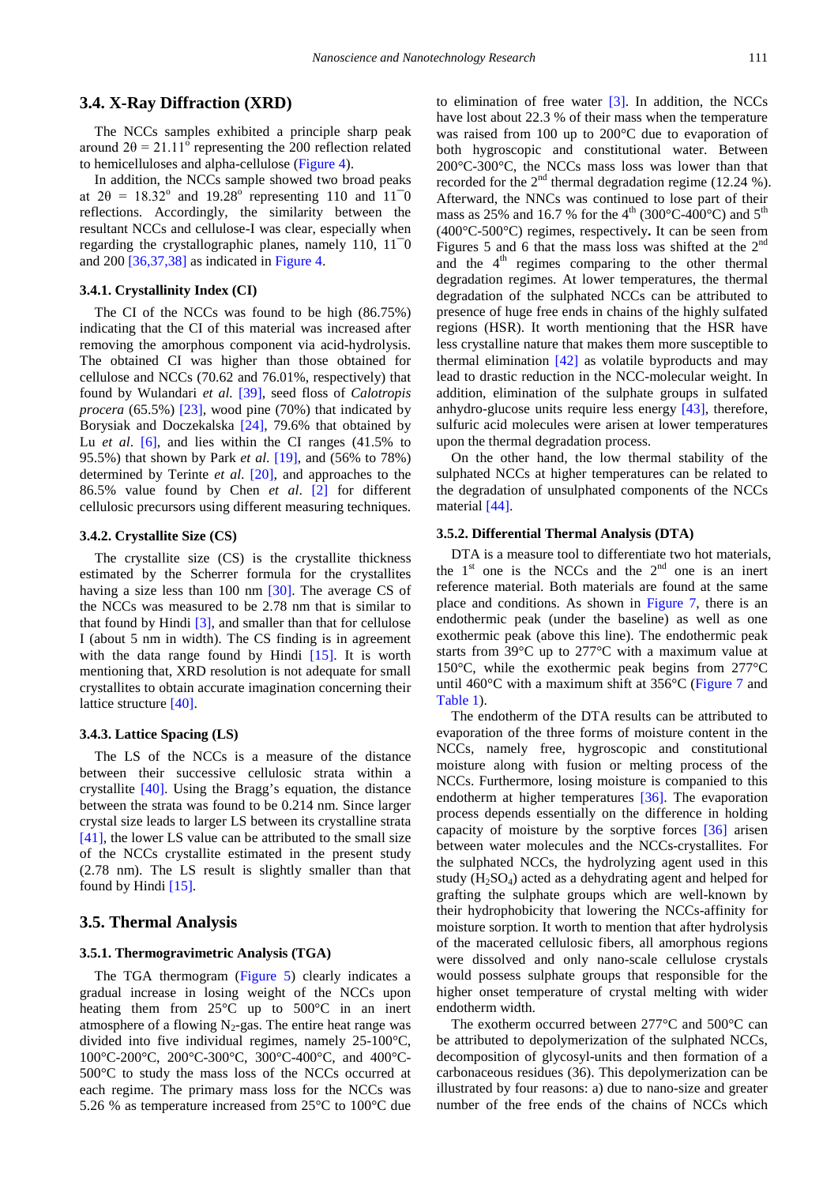# **3.4. X-Ray Diffraction (XRD)**

The NCCs samples exhibited a principle sharp peak around  $2\theta = 21.11^\circ$  representing the 200 reflection related to hemicelluloses and alpha-cellulose [\(Figure 4\)](#page-4-0).

In addition, the NCCs sample showed two broad peaks at  $2\theta = 18.32^{\circ}$  and  $19.28^{\circ}$  representing 110 and 11<sup>-</sup>0 reflections. Accordingly, the similarity between the resultant NCCs and cellulose-I was clear, especially when regarding the crystallographic planes, namely 110, 11¯0 and 200 [\[36,37,38\]](#page-8-7) as indicated i[n Figure 4.](#page-4-0)

#### **3.4.1. Crystallinity Index (CI)**

The CI of the NCCs was found to be high (86.75%) indicating that the CI of this material was increased after removing the amorphous component via acid-hydrolysis. The obtained CI was higher than those obtained for cellulose and NCCs (70.62 and 76.01%, respectively) that found by Wulandari *et al.* [\[39\],](#page-8-8) seed floss of *Calotropis procera* (65.5%) [\[23\],](#page-7-14) wood pine (70%) that indicated by Borysiak and Doczekalska [\[24\],](#page-7-15) 79.6% that obtained by Lu *et al.* [\[6\],](#page-7-5) and lies within the CI ranges (41.5% to 95.5%) that shown by Park *et al*. [\[19\],](#page-7-13) and (56% to 78%) determined by Terinte *et al*. [\[20\],](#page-7-16) and approaches to the 86.5% value found by Chen *et al*. [\[2\]](#page-7-1) for different cellulosic precursors using different measuring techniques.

### **3.4.2. Crystallite Size (CS)**

The crystallite size (CS) is the crystallite thickness estimated by the Scherrer formula for the crystallites having a size less than 100 nm [\[30\].](#page-8-3) The average CS of the NCCs was measured to be 2.78 nm that is similar to that found by Hindi [\[3\],](#page-7-2) and smaller than that for cellulose I (about 5 nm in width). The CS finding is in agreement with the data range found by Hindi [\[15\].](#page-7-11) It is worth mentioning that, XRD resolution is not adequate for small crystallites to obtain accurate imagination concerning their lattice structure [\[40\].](#page-8-9)

### **3.4.3. Lattice Spacing (LS)**

The LS of the NCCs is a measure of the distance between their successive cellulosic strata within a crystallite [\[40\].](#page-8-9) Using the Bragg's equation, the distance between the strata was found to be 0.214 nm. Since larger crystal size leads to larger LS between its crystalline strata [\[41\],](#page-8-10) the lower LS value can be attributed to the small size of the NCCs crystallite estimated in the present study (2.78 nm). The LS result is slightly smaller than that found by Hindi  $[15]$ .

### **3.5. Thermal Analysis**

### **3.5.1. Thermogravimetric Analysis (TGA)**

The TGA thermogram [\(Figure 5\)](#page-6-0) clearly indicates a gradual increase in losing weight of the NCCs upon heating them from 25°C up to 500°C in an inert atmosphere of a flowing  $N_2$ -gas. The entire heat range was divided into five individual regimes, namely 25-100°C, 100°C-200°C, 200°C-300°C, 300°C-400°C, and 400°C-500°C to study the mass loss of the NCCs occurred at each regime. The primary mass loss for the NCCs was 5.26 % as temperature increased from 25°C to 100°C due

to elimination of free water  $[3]$ . In addition, the NCCs have lost about 22.3 % of their mass when the temperature was raised from 100 up to 200°C due to evaporation of both hygroscopic and constitutional water. Between 200°C-300°C, the NCCs mass loss was lower than that recorded for the  $2<sup>nd</sup>$  thermal degradation regime (12.24 %). Afterward, the NNCs was continued to lose part of their mass as 25% and 16.7 % for the 4<sup>th</sup> (300°C-400°C) and 5<sup>th</sup> (400°C-500°C) regimes, respectively**.** It can be seen from Figures 5 and 6 that the mass loss was shifted at the  $2<sup>nd</sup>$ and the  $4<sup>th</sup>$  regimes comparing to the other thermal degradation regimes. At lower temperatures, the thermal degradation of the sulphated NCCs can be attributed to presence of huge free ends in chains of the highly sulfated regions (HSR). It worth mentioning that the HSR have less crystalline nature that makes them more susceptible to thermal elimination [\[42\]](#page-8-11) as volatile byproducts and may lead to drastic reduction in the NCC-molecular weight. In addition, elimination of the sulphate groups in sulfated anhydro-glucose units require less energy [\[43\],](#page-8-12) therefore, sulfuric acid molecules were arisen at lower temperatures upon the thermal degradation process.

On the other hand, the low thermal stability of the sulphated NCCs at higher temperatures can be related to the degradation of unsulphated components of the NCCs material [\[44\].](#page-8-13)

# **3.5.2. Differential Thermal Analysis (DTA)**

DTA is a measure tool to differentiate two hot materials, the  $1<sup>st</sup>$  one is the NCCs and the  $2<sup>nd</sup>$  one is an inert reference material. Both materials are found at the same place and conditions. As shown in [Figure 7,](#page-6-1) there is an endothermic peak (under the baseline) as well as one exothermic peak (above this line). The endothermic peak starts from 39°C up to 277°C with a maximum value at 150°C, while the exothermic peak begins from 277°C until 460°C with a maximum shift at 356°C [\(Figure 7](#page-6-1) and [Table 1\)](#page-7-20).

The endotherm of the DTA results can be attributed to evaporation of the three forms of moisture content in the NCCs, namely free, hygroscopic and constitutional moisture along with fusion or melting process of the NCCs. Furthermore, losing moisture is companied to this endotherm at higher temperatures [\[36\].](#page-8-7) The evaporation process depends essentially on the difference in holding capacity of moisture by the sorptive forces [\[36\]](#page-8-7) arisen between water molecules and the NCCs-crystallites. For the sulphated NCCs, the hydrolyzing agent used in this study  $(H_2SO_4)$  acted as a dehydrating agent and helped for grafting the sulphate groups which are well-known by their hydrophobicity that lowering the NCCs-affinity for moisture sorption. It worth to mention that after hydrolysis of the macerated cellulosic fibers, all amorphous regions were dissolved and only nano-scale cellulose crystals would possess sulphate groups that responsible for the higher onset temperature of crystal melting with wider endotherm width.

The exotherm occurred between 277°C and 500°C can be attributed to depolymerization of the sulphated NCCs, decomposition of glycosyl-units and then formation of a carbonaceous residues (36). This depolymerization can be illustrated by four reasons: a) due to nano-size and greater number of the free ends of the chains of NCCs which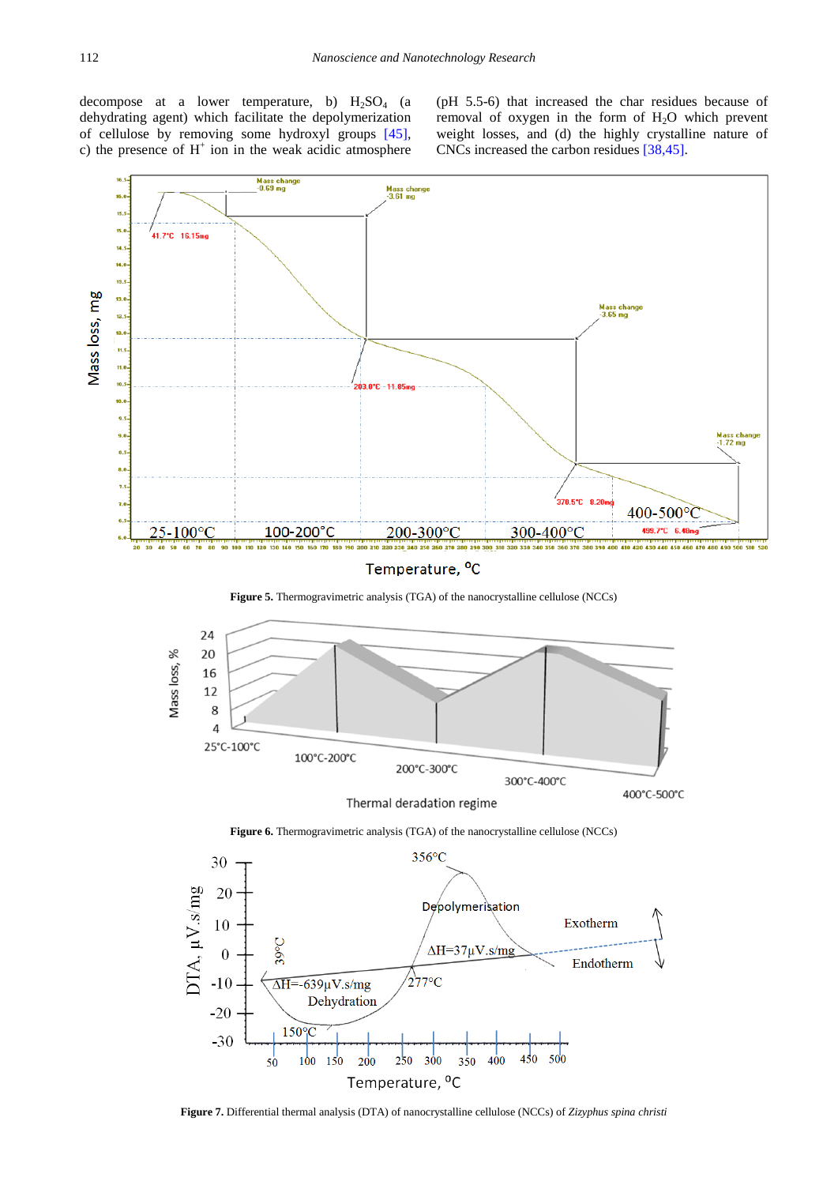decompose at a lower temperature, b)  $H_2SO_4$  (a dehydrating agent) which facilitate the depolymerization of cellulose by removing some hydroxyl groups [\[45\],](#page-8-14) c) the presence of  $H^+$  ion in the weak acidic atmosphere

(pH 5.5-6) that increased the char residues because of removal of oxygen in the form of  $H_2O$  which prevent weight losses, and (d) the highly crystalline nature of CNCs increased the carbon residues [\[38,45\].](#page-8-15)

<span id="page-6-0"></span>

Temperature, <sup>o</sup>C

**Figure 5.** Thermogravimetric analysis (TGA) of the nanocrystalline cellulose (NCCs)



Thermal deradation regime

**Figure 6.** Thermogravimetric analysis (TGA) of the nanocrystalline cellulose (NCCs)

<span id="page-6-1"></span>

**Figure 7.** Differential thermal analysis (DTA) of nanocrystalline cellulose (NCCs) of *Zizyphus spina christi*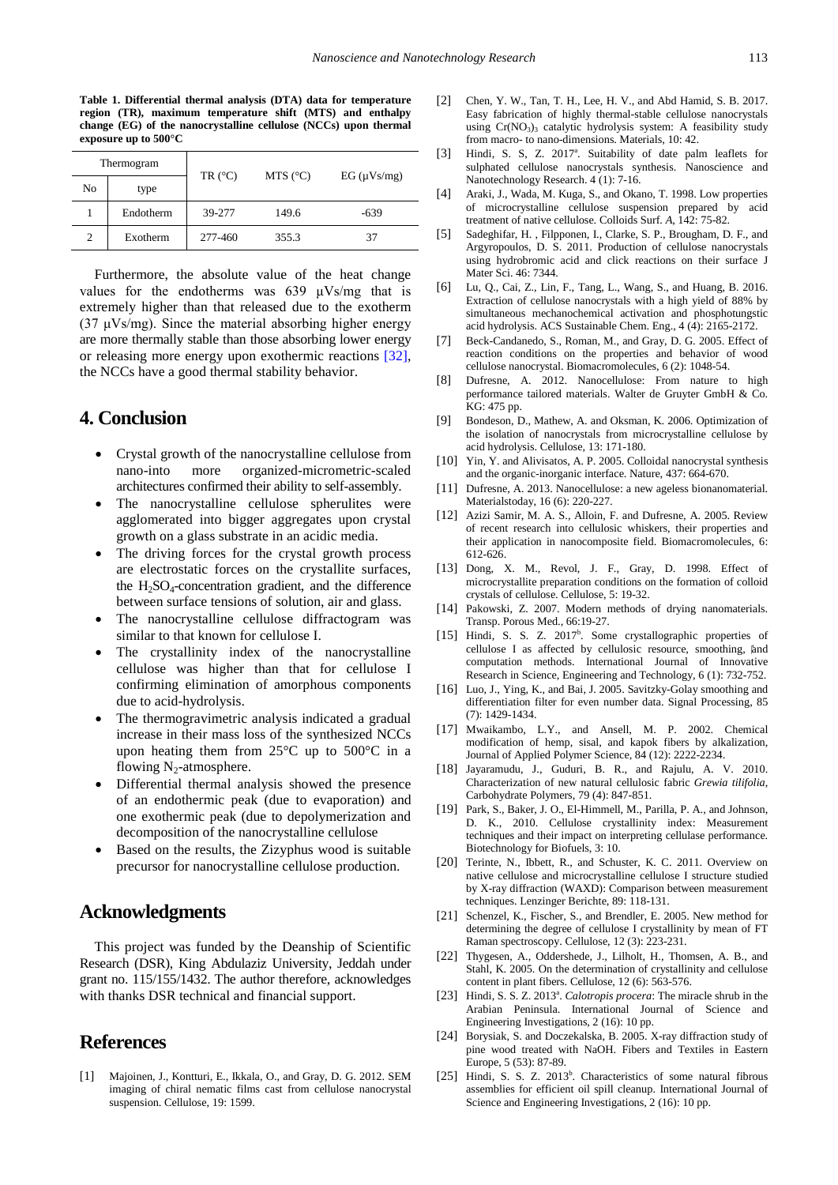**Table 1. Differential thermal analysis (DTA) data for temperature region (TR), maximum temperature shift (MTS) and enthalpy change (EG) of the nanocrystalline cellulose (NCCs) upon thermal exposure up to 500°C**

<span id="page-7-20"></span>

| Thermogram     |           | TR $(^{\circ}C)$ | MTS $(^{\circ}C)$ | EG (µVs/mg) |
|----------------|-----------|------------------|-------------------|-------------|
| No             | type      |                  |                   |             |
|                | Endotherm | 39-277           | 149.6             | $-639$      |
| $\overline{c}$ | Exotherm  | 277-460          | 355.3             | 37          |

Furthermore, the absolute value of the heat change values for the endotherms was 639 μVs/mg that is extremely higher than that released due to the exotherm (37  $\mu$ Vs/mg). Since the material absorbing higher energy are more thermally stable than those absorbing lower energy or releasing more energy upon exothermic reactions [\[32\],](#page-8-16) the NCCs have a good thermal stability behavior.

# **4. Conclusion**

- Crystal growth of the nanocrystalline cellulose from nano-into more organized-micrometric-scaled architectures confirmed their ability to self-assembly.
- The nanocrystalline cellulose spherulites were agglomerated into bigger aggregates upon crystal growth on a glass substrate in an acidic media.
- The driving forces for the crystal growth process are electrostatic forces on the crystallite surfaces, the  $H<sub>2</sub>SO<sub>4</sub>$ -concentration gradient, and the difference between surface tensions of solution, air and glass.
- The nanocrystalline cellulose diffractogram was similar to that known for cellulose I.
- The crystallinity index of the nanocrystalline cellulose was higher than that for cellulose I confirming elimination of amorphous components due to acid-hydrolysis.
- The thermogravimetric analysis indicated a gradual increase in their mass loss of the synthesized NCCs upon heating them from 25°C up to 500°C in a flowing  $N_2$ -atmosphere.
- Differential thermal analysis showed the presence of an endothermic peak (due to evaporation) and one exothermic peak (due to depolymerization and decomposition of the nanocrystalline cellulose
- Based on the results, the Zizyphus wood is suitable precursor for nanocrystalline cellulose production.

# **Acknowledgments**

This project was funded by the Deanship of Scientific Research (DSR), King Abdulaziz University, Jeddah under grant no. 115/155/1432. The author therefore, acknowledges with thanks DSR technical and financial support.

# **References**

<span id="page-7-0"></span>[1] Majoinen, J., Kontturi, E., Ikkala, O., and Gray, D. G. 2012. SEM imaging of chiral nematic films cast from cellulose nanocrystal suspension. Cellulose, 19: 1599.

- <span id="page-7-1"></span>[2] Chen, Y. W., Tan, T. H., Lee, H. V., and Abd Hamid, S. B. 2017. Easy fabrication of highly thermal-stable cellulose nanocrystals using  $Cr(NO<sub>3</sub>)<sub>3</sub>$  catalytic hydrolysis system: A feasibility study from macro- to nano-dimensions. Materials, 10: 42.
- <span id="page-7-2"></span>[3] Hindi, S. S, Z. 2017<sup>a</sup>. Suitability of date palm leaflets for sulphated cellulose nanocrystals synthesis. Nanoscience and Nanotechnology Research. 4 (1): 7-16.
- <span id="page-7-3"></span>[4] Araki, J., Wada, M. Kuga, S., and Okano, T. 1998. Low properties of microcrystalline cellulose suspension prepared by acid treatment of native cellulose. Colloids Surf*. A*, 142: 75-82.
- <span id="page-7-4"></span>[5] Sadeghifar, H. , Filpponen, I., Clarke, S. P., Brougham, D. F., and Argyropoulos, D. S. 2011. Production of cellulose nanocrystals using hydrobromic acid and click reactions on their surface J Mater Sci. 46: 7344.
- <span id="page-7-5"></span>[6] Lu, Q., Cai, Z., Lin, F., Tang, L., Wang, S., and Huang, B. 2016. Extraction of cellulose nanocrystals with a high yield of 88% by simultaneous mechanochemical activation and phosphotungstic acid hydrolysis. ACS Sustainable Chem. Eng., 4 (4): 2165-2172.
- <span id="page-7-6"></span>[7] Beck-Candanedo, S., Roman, M., and Gray, D. G. 2005. Effect of reaction conditions on the properties and behavior of wood cellulose nanocrystal. Biomacromolecules, 6 (2): 1048-54.
- <span id="page-7-7"></span>[8] Dufresne, A. 2012. Nanocellulose: From nature to high performance tailored materials. Walter de Gruyter GmbH & Co. KG: 475 pp.
- <span id="page-7-8"></span>[9] Bondeson, D., Mathew, A. and Oksman, K. 2006. Optimization of the isolation of nanocrystals from microcrystalline cellulose by acid hydrolysis. Cellulose, 13: 171-180.
- <span id="page-7-9"></span>[10] Yin, Y. and Alivisatos, A. P. 2005. Colloidal nanocrystal synthesis and the organic-inorganic interface. Nature, 437: 664-670.
- <span id="page-7-19"></span>[11] Dufresne, A. 2013. Nanocellulose: a new ageless bionanomaterial. Materialstoday, 16 (6): 220-227.
- [12] Azizi Samir, M. A. S., Alloin, F. and Dufresne, A. 2005. Review of recent research into cellulosic whiskers, their properties and their application in nanocomposite field. Biomacromolecules, 6: 612-626.
- [13] Dong, X. M., Revol, J. F., Gray, D. 1998. Effect of microcrystallite preparation conditions on the formation of colloid crystals of cellulose. Cellulose, 5: 19-32.
- <span id="page-7-10"></span>[14] Pakowski, Z. 2007. Modern methods of drying nanomaterials. Transp. Porous Med., 66:19-27.
- <span id="page-7-11"></span>[15] Hindi, S. S. Z. 2017<sup>b</sup>. Some crystallographic properties of cellulose I as affected by cellulosic resource, smoothing,  $\hat{\imath}$  and computation methods. International Journal of Innovative Research in Science, Engineering and Technology, 6 (1): 732-752.
- [16] Luo, J., Ying, K., and Bai, J. 2005. Savitzky-Golay smoothing and differentiation filter for even number data. Signal Processing, 85 (7): 1429-1434.
- <span id="page-7-12"></span>[17] Mwaikambo, L.Y., and Ansell, M. P. 2002. Chemical modification of hemp, sisal, and kapok fibers by alkalization, Journal of Applied Polymer Science, 84 (12): 2222-2234.
- [18] Jayaramudu, J., Guduri, B. R., and Rajulu, A. V. 2010. Characterization of new natural cellulosic fabric *Grewia tilifolia*, Carbohydrate Polymers, 79 (4): 847-851.
- <span id="page-7-13"></span>[19] Park, S., Baker, J. O., El-Himmell, M., Parilla, P. A., and Johnson, D. K., 2010. Cellulose crystallinity index: Measurement techniques and their impact on interpreting cellulase performance. Biotechnology for Biofuels, 3: 10.
- <span id="page-7-16"></span>[20] Terinte, N., Ibbett, R., and Schuster, K. C. 2011. Overview on native cellulose and microcrystalline cellulose I structure studied by X-ray diffraction (WAXD): Comparison between measurement techniques. Lenzinger Berichte, 89: 118-131.
- [21] Schenzel, K., Fischer, S., and Brendler, E. 2005. New method for determining the degree of cellulose I crystallinity by mean of FT Raman spectroscopy. Cellulose, 12 (3): 223-231.
- <span id="page-7-18"></span>[22] Thygesen, A., Oddershede, J., Lilholt, H., Thomsen, A. B., and Stahl, K. 2005. On the determination of crystallinity and cellulose content in plant fibers. Cellulose, 12 (6): 563-576.
- <span id="page-7-14"></span>[23] Hindi, S. S. Z. 2013<sup>ª</sup>. *Calotropis procera*: The miracle shrub in the Arabian Peninsula. International Journal of Science and Engineering Investigations, 2 (16): 10 pp.
- <span id="page-7-15"></span>[24] Borysiak, S. and Doczekalska, B. 2005. X-ray diffraction study of pine wood treated with NaOH. Fibers and Textiles in Eastern Europe, 5 (53): 87-89.
- <span id="page-7-17"></span>[25] Hindi, S. S. Z. 2013<sup>b</sup>. Characteristics of some natural fibrous assemblies for efficient oil spill cleanup. International Journal of Science and Engineering Investigations, 2 (16): 10 pp.